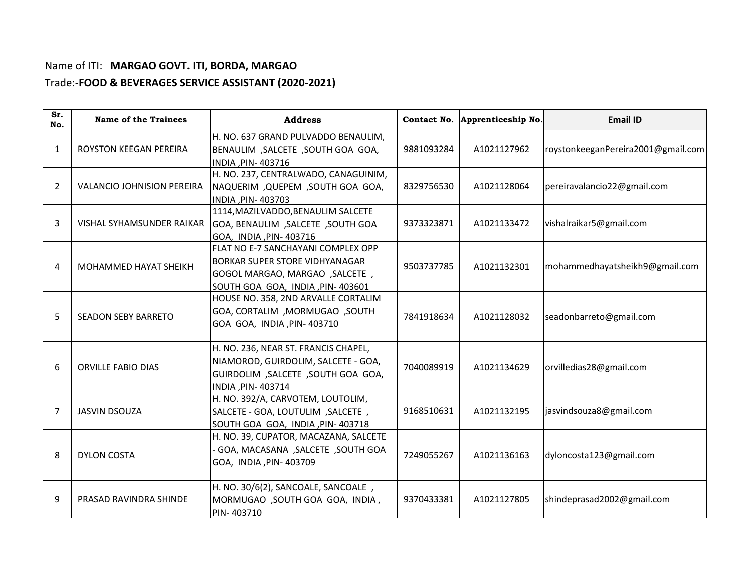## Name of ITI: **MARGAO GOVT. ITI, BORDA, MARGAO**  Trade:-**FOOD & BEVERAGES SERVICE ASSISTANT (2020-2021)**

| Sr.<br>No.     | <b>Name of the Trainees</b>       | <b>Address</b>                                                                                                                                    |            | Contact No. Apprenticeship No. | <b>Email ID</b>                    |
|----------------|-----------------------------------|---------------------------------------------------------------------------------------------------------------------------------------------------|------------|--------------------------------|------------------------------------|
| 1              | ROYSTON KEEGAN PEREIRA            | H. NO. 637 GRAND PULVADDO BENAULIM,<br>BENAULIM, SALCETE, SOUTH GOA GOA,<br>INDIA, PIN-403716                                                     | 9881093284 | A1021127962                    | roystonkeeganPereira2001@gmail.com |
| $\overline{2}$ | <b>VALANCIO JOHNISION PEREIRA</b> | H. NO. 237, CENTRALWADO, CANAGUINIM,<br>NAQUERIM, QUEPEM, SOUTH GOA GOA,<br>INDIA, PIN-403703                                                     | 8329756530 | A1021128064                    | pereiravalancio22@gmail.com        |
| 3              | VISHAL SYHAMSUNDER RAIKAR         | 1114, MAZILVADDO, BENAULIM SALCETE<br>SOUTH GOA, BENAULIM, SALCETE, SOUTH GOA<br>GOA, INDIA, PIN-403716                                           | 9373323871 | A1021133472                    | vishalraikar5@gmail.com            |
| 4              | MOHAMMED HAYAT SHEIKH             | FLAT NO E-7 SANCHAYANI COMPLEX OPP<br><b>BORKAR SUPER STORE VIDHYANAGAR</b><br>GOGOL MARGAO, MARGAO, SALCETE,<br>SOUTH GOA GOA, INDIA, PIN-403601 | 9503737785 | A1021132301                    | mohammedhayatsheikh9@gmail.com     |
| 5              | <b>SEADON SEBY BARRETO</b>        | HOUSE NO. 358, 2ND ARVALLE CORTALIM<br>GOA, CORTALIM, MORMUGAO, SOUTH<br>GOA GOA, INDIA, PIN- 403710                                              | 7841918634 | A1021128032                    | seadonbarreto@gmail.com            |
| 6              | <b>ORVILLE FABIO DIAS</b>         | H. NO. 236, NEAR ST. FRANCIS CHAPEL,<br>NIAMOROD, GUIRDOLIM, SALCETE - GOA,<br>GUIRDOLIM, SALCETE, SOUTH GOA GOA,<br>INDIA , PIN- 403714          | 7040089919 | A1021134629                    | orvilledias28@gmail.com            |
| 7              | <b>JASVIN DSOUZA</b>              | H. NO. 392/A, CARVOTEM, LOUTOLIM,<br>SALCETE - GOA, LOUTULIM, SALCETE,<br>SOUTH GOA GOA, INDIA, PIN-403718                                        | 9168510631 | A1021132195                    | jasvindsouza8@gmail.com            |
| 8              | <b>DYLON COSTA</b>                | H. NO. 39, CUPATOR, MACAZANA, SALCETE<br>- GOA, MACASANA , SALCETE , SOUTH GOA<br>GOA, INDIA, PIN- 403709                                         | 7249055267 | A1021136163                    | dyloncosta123@gmail.com            |
| 9              | PRASAD RAVINDRA SHINDE            | H. NO. 30/6(2), SANCOALE, SANCOALE,<br>MORMUGAO, SOUTH GOA GOA, INDIA,<br>PIN-403710                                                              | 9370433381 | A1021127805                    | shindeprasad2002@gmail.com         |